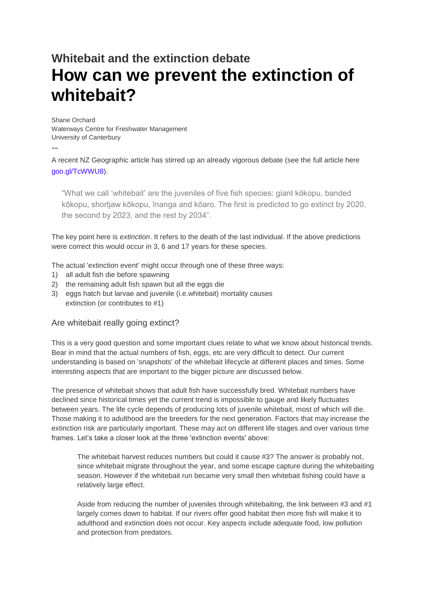# **Whitebait and the extinction debate How can we prevent the extinction of whitebait?**

Shane Orchard Waterways Centre for Freshwater Management University of Canterbury

--

A recent NZ Geographic article has stirred up an already vigorous debate (see the full article here [goo.gl/TcWWU8\)](https://l.facebook.com/l.php?u=https%3A%2F%2Fgoo.gl%2FTcWWU8&h=ATOR9AC3Ex2RyuDx4TEfpHOF44WGDKtmMWAoyUh-I_omLykQv6P5MIB1jAJ4itohe4c4-kHSEabGtMUOUygGWe7pGO_cajwMv6sNbvu-2_aXRZu277jsRXPO1twUStZiuStcxWd64u8aQx6EaxtFDFpo_FEqHh8snBU3V43JuQixrKl4onirkogQSNT2zEwUrT_oFI5oOaukQEXxQtI1mN5yXYsrTNvQm8c0tIRm3IffAVK7jAc5qdAUFdNgXN4p93gdGccQnAFhecCtUhAUc-6frTGT2cYB3ls).

"What we call 'whitebait' are the juveniles of five fish species: giant kōkopu, banded kōkopu, shortjaw kōkopu, īnanga and kōaro. The first is predicted to go extinct by 2020, the second by 2023, and the rest by 2034".

The key point here is *extinction*. It refers to the death of the last individual. If the above predictions were correct this would occur in 3, 6 and 17 years for these species.

The actual 'extinction event' might occur through one of these three ways:

- 1) all adult fish die before spawning
- 2) the remaining adult fish spawn but all the eggs die
- 3) eggs hatch but larvae and juvenile (i.e.whitebait) mortality causes extinction (or contributes to #1)

## Are whitebait really going extinct?

This is a very good question and some important clues relate to what we know about historical trends. Bear in mind that the actual numbers of fish, eggs, etc are very difficult to detect. Our current understanding is based on 'snapshots' of the whitebait lifecycle at different places and times. Some interesting aspects that are important to the bigger picture are discussed below.

The presence of whitebait shows that adult fish have successfully bred. Whitebait numbers have declined since historical times yet the current trend is impossible to gauge and likely fluctuates between years. The life cycle depends of producing lots of juvenile whitebait, most of which will die. Those making it to adulthood are the breeders for the next generation. Factors that may increase the extinction risk are particularly important. These may act on different life stages and over various time frames. Let's take a closer look at the three 'extinction events' above:

The whitebait harvest reduces numbers but could it cause #3? The answer is probably not, since whitebait migrate throughout the year, and some escape capture during the whitebaiting season. However if the whitebait run became very small then whitebait fishing could have a relatively large effect.

Aside from reducing the number of juveniles through whitebaiting, the link between #3 and #1 largely comes down to habitat. If our rivers offer good habitat then more fish will make it to adulthood and extinction does not occur. Key aspects include adequate food, low pollution and protection from predators.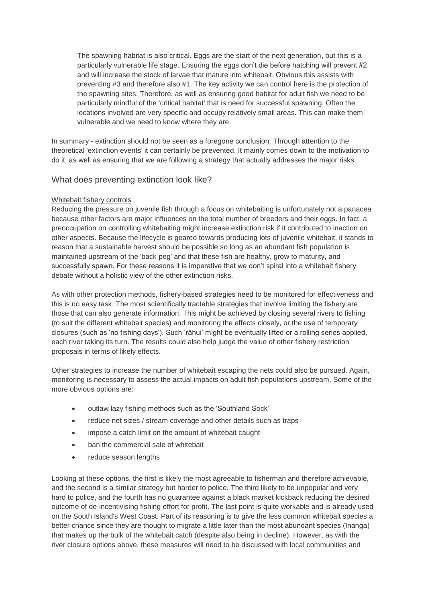The spawning habitat is also critical. Eggs are the start of the next generation, but this is a particularly vulnerable life stage. Ensuring the eggs don't die before hatching will prevent #2 and will increase the stock of larvae that mature into whitebait. Obvious this assists with preventing #3 and therefore also #1. The key activity we can control here is the protection of the spawning sites. Therefore, as well as ensuring good habitat for adult fish we need to be particularly mindful of the 'critical habitat' that is need for successful spawning. Often the locations involved are very specific and occupy relatively small areas. This can make them vulnerable and we need to know where they are.

In summary - extinction should not be seen as a foregone conclusion. Through attention to the theoretical 'extinction events' it can certainly be prevented. It mainly comes down to the motivation to do it, as well as ensuring that we are following a strategy that actually addresses the major risks.

## What does preventing extinction look like?

#### Whitebait fishery controls

Reducing the pressure on juvenile fish through a focus on whitebaiting is unfortunately not a panacea because other factors are major influences on the total number of breeders and their eggs. In fact, a preoccupation on controlling whitebaiting might increase extinction risk if it contributed to inaction on other aspects. Because the lifecycle is geared towards producing lots of juvenile whitebait, it stands to reason that a sustainable harvest should be possible so long as an abundant fish population is maintained upstream of the 'back peg' and that these fish are healthy, grow to maturity, and successfully spawn. For these reasons it is imperative that we don't spiral into a whitebait fishery debate without a holistic view of the other extinction risks.

As with other protection methods, fishery-based strategies need to be monitored for effectiveness and this is no easy task. The most scientifically tractable strategies that involve limiting the fishery are those that can also generate information. This might be achieved by closing several rivers to fishing (to suit the different whitebait species) and monitoring the effects closely, or the use of temporary closures (such as 'no fishing days'). Such 'rāhui' might be eventually lifted or a rolling series applied, each river taking its turn. The results could also help judge the value of other fishery restriction proposals in terms of likely effects.

Other strategies to increase the number of whitebait escaping the nets could also be pursued. Again, monitoring is necessary to assess the actual impacts on adult fish populations upstream. Some of the more obvious options are:

- outlaw lazy fishing methods such as the 'Southland Sock'
- reduce net sizes / stream coverage and other details such as traps
- impose a catch limit on the amount of whitebait caught
- ban the commercial sale of whitebait
- reduce season lengths

Looking at these options, the first is likely the most agreeable to fisherman and therefore achievable, and the second is a similar strategy but harder to police. The third likely to be unpopular and very hard to police, and the fourth has no guarantee against a black market kickback reducing the desired outcome of de-incentivising fishing effort for profit. The last point is quite workable and is already used on the South Island's West Coast. Part of its reasoning is to give the less common whitebait species a better chance since they are thought to migrate a little later than the most abundant species (īnanga) that makes up the bulk of the whitebait catch (despite also being in decline). However, as with the river closure options above, these measures will need to be discussed with local communities and